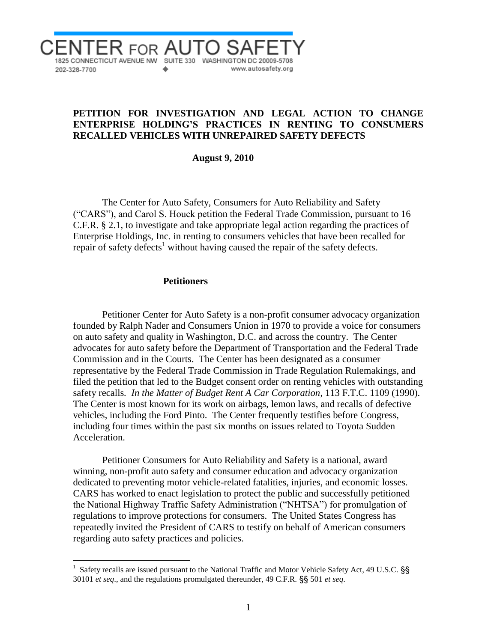

## **PETITION FOR INVESTIGATION AND LEGAL ACTION TO CHANGE ENTERPRISE HOLDING'S PRACTICES IN RENTING TO CONSUMERS RECALLED VEHICLES WITH UNREPAIRED SAFETY DEFECTS**

 **August 9, 2010**

The Center for Auto Safety, Consumers for Auto Reliability and Safety ("CARS"), and Carol S. Houck petition the Federal Trade Commission, pursuant to 16 C.F.R. § 2.1, to investigate and take appropriate legal action regarding the practices of Enterprise Holdings, Inc. in renting to consumers vehicles that have been recalled for repair of safety defects<sup>1</sup> without having caused the repair of the safety defects.

#### **Petitioners**

 $\overline{a}$ 

Petitioner Center for Auto Safety is a non-profit consumer advocacy organization founded by Ralph Nader and Consumers Union in 1970 to provide a voice for consumers on auto safety and quality in Washington, D.C. and across the country. The Center advocates for auto safety before the Department of Transportation and the Federal Trade Commission and in the Courts. The Center has been designated as a consumer representative by the Federal Trade Commission in Trade Regulation Rulemakings, and filed the petition that led to the Budget consent order on renting vehicles with outstanding safety recalls*. In the Matter of Budget Rent A Car Corporation*, 113 F.T.C. 1109 (1990). The Center is most known for its work on airbags, lemon laws, and recalls of defective vehicles, including the Ford Pinto. The Center frequently testifies before Congress, including four times within the past six months on issues related to Toyota Sudden Acceleration.

Petitioner Consumers for Auto Reliability and Safety is a national, award winning, non-profit auto safety and consumer education and advocacy organization dedicated to preventing motor vehicle-related fatalities, injuries, and economic losses. CARS has worked to enact legislation to protect the public and successfully petitioned the National Highway Traffic Safety Administration ("NHTSA") for promulgation of regulations to improve protections for consumers. The United States Congress has repeatedly invited the President of CARS to testify on behalf of American consumers regarding auto safety practices and policies.

<sup>1</sup> Safety recalls are issued pursuant to the National Traffic and Motor Vehicle Safety Act, 49 U.S.C. §§ 30101 *et seq*., and the regulations promulgated thereunder, 49 C.F.R. §§ 501 *et seq*.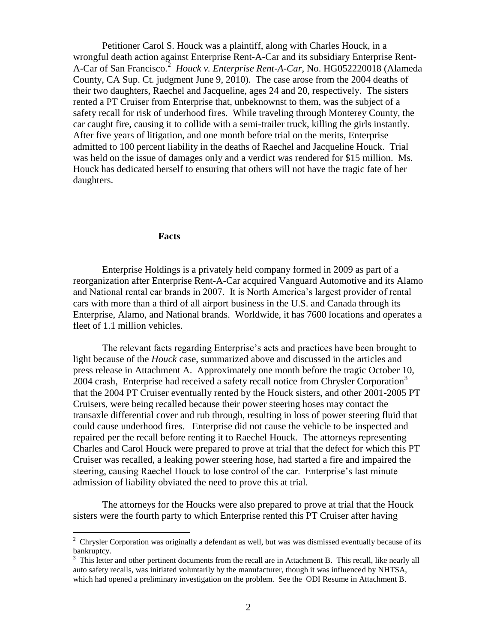Petitioner Carol S. Houck was a plaintiff, along with Charles Houck, in a wrongful death action against Enterprise Rent-A-Car and its subsidiary Enterprise Rent-A-Car of San Francisco.<sup>2</sup> *Houck v. Enterprise Rent-A-Car*, No. HG052220018 (Alameda County, CA Sup. Ct. judgment June 9, 2010). The case arose from the 2004 deaths of their two daughters, Raechel and Jacqueline, ages 24 and 20, respectively. The sisters rented a PT Cruiser from Enterprise that, unbeknownst to them, was the subject of a safety recall for risk of underhood fires. While traveling through Monterey County, the car caught fire, causing it to collide with a semi-trailer truck, killing the girls instantly. After five years of litigation, and one month before trial on the merits, Enterprise admitted to 100 percent liability in the deaths of Raechel and Jacqueline Houck. Trial was held on the issue of damages only and a verdict was rendered for \$15 million. Ms. Houck has dedicated herself to ensuring that others will not have the tragic fate of her daughters.

### **Facts**

Enterprise Holdings is a privately held company formed in 2009 as part of a reorganization after Enterprise Rent-A-Car acquired Vanguard Automotive and its Alamo and National rental car brands in 2007. It is North America's largest provider of rental cars with more than a third of all airport business in the U.S. and Canada through its Enterprise, Alamo, and National brands. Worldwide, it has 7600 locations and operates a fleet of 1.1 million vehicles.

The relevant facts regarding Enterprise's acts and practices have been brought to light because of the *Houck* case, summarized above and discussed in the articles and press release in Attachment A. Approximately one month before the tragic October 10, 2004 crash, Enterprise had received a safety recall notice from Chrysler Corporation<sup>3</sup> that the 2004 PT Cruiser eventually rented by the Houck sisters, and other 2001-2005 PT Cruisers, were being recalled because their power steering hoses may contact the transaxle differential cover and rub through, resulting in loss of power steering fluid that could cause underhood fires. Enterprise did not cause the vehicle to be inspected and repaired per the recall before renting it to Raechel Houck. The attorneys representing Charles and Carol Houck were prepared to prove at trial that the defect for which this PT Cruiser was recalled, a leaking power steering hose, had started a fire and impaired the steering, causing Raechel Houck to lose control of the car. Enterprise's last minute admission of liability obviated the need to prove this at trial.

The attorneys for the Houcks were also prepared to prove at trial that the Houck sisters were the fourth party to which Enterprise rented this PT Cruiser after having

<sup>&</sup>lt;sup>2</sup> Chrysler Corporation was originally a defendant as well, but was was dismissed eventually because of its bankruptcy.

<sup>&</sup>lt;sup>3</sup> This letter and other pertinent documents from the recall are in Attachment B. This recall, like nearly all auto safety recalls, was initiated voluntarily by the manufacturer, though it was influenced by NHTSA, which had opened a preliminary investigation on the problem. See the ODI Resume in Attachment B.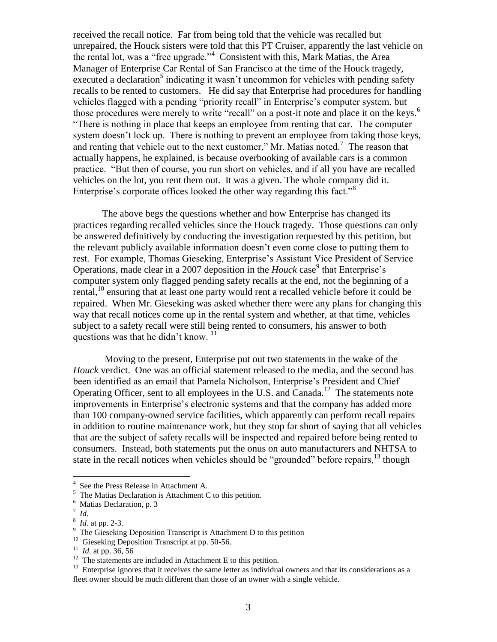received the recall notice. Far from being told that the vehicle was recalled but unrepaired, the Houck sisters were told that this PT Cruiser, apparently the last vehicle on the rental lot, was a "free upgrade."<sup>4</sup> Consistent with this, Mark Matias, the Area Manager of Enterprise Car Rental of San Francisco at the time of the Houck tragedy, executed a declaration<sup>5</sup> indicating it wasn't uncommon for vehicles with pending safety recalls to be rented to customers. He did say that Enterprise had procedures for handling vehicles flagged with a pending "priority recall" in Enterprise's computer system, but those procedures were merely to write "recall" on a post-it note and place it on the keys.<sup>6</sup> "There is nothing in place that keeps an employee from renting that car. The computer system doesn't lock up. There is nothing to prevent an employee from taking those keys, and renting that vehicle out to the next customer," Mr. Matias noted.<sup>7</sup> The reason that actually happens, he explained, is because overbooking of available cars is a common practice. "But then of course, you run short on vehicles, and if all you have are recalled vehicles on the lot, you rent them out. It was a given. The whole company did it. Enterprise's corporate offices looked the other way regarding this fact."<sup>8</sup>

The above begs the questions whether and how Enterprise has changed its practices regarding recalled vehicles since the Houck tragedy. Those questions can only be answered definitively by conducting the investigation requested by this petition, but the relevant publicly available information doesn't even come close to putting them to rest. For example, Thomas Gieseking, Enterprise's Assistant Vice President of Service Operations, made clear in a 2007 deposition in the *Houck* case 9 that Enterprise's computer system only flagged pending safety recalls at the end, not the beginning of a rental,<sup>10</sup> ensuring that at least one party would rent a recalled vehicle before it could be repaired. When Mr. Gieseking was asked whether there were any plans for changing this way that recall notices come up in the rental system and whether, at that time, vehicles subject to a safety recall were still being rented to consumers, his answer to both questions was that he didn't know.  $11$ 

Moving to the present, Enterprise put out two statements in the wake of the *Houck* verdict. One was an official statement released to the media, and the second has been identified as an email that Pamela Nicholson, Enterprise's President and Chief Operating Officer, sent to all employees in the U.S. and Canada.<sup>12</sup> The statements note improvements in Enterprise's electronic systems and that the company has added more than 100 company-owned service facilities, which apparently can perform recall repairs in addition to routine maintenance work, but they stop far short of saying that all vehicles that are the subject of safety recalls will be inspected and repaired before being rented to consumers. Instead, both statements put the onus on auto manufacturers and NHTSA to state in the recall notices when vehicles should be "grounded" before repairs,  $^{13}$  though

 $\overline{a}$ 

<sup>4</sup> See the Press Release in Attachment A.

 $5$  The Matias Declaration is Attachment C to this petition.

<sup>6</sup> Matias Declaration, p. 3

<sup>7</sup> *Id.*

<sup>8</sup> *Id*. at pp. 2-3.

<sup>&</sup>lt;sup>9</sup> The Gieseking Deposition Transcript is Attachment D to this petition

<sup>&</sup>lt;sup>10</sup> Gieseking Deposition Transcript at pp. 50-56.

<sup>&</sup>lt;sup>11</sup> *Id.* at pp. 36, 56

<sup>&</sup>lt;sup>12</sup> The statements are included in Attachment E to this petition.

<sup>&</sup>lt;sup>13</sup> Enterprise ignores that it receives the same letter as individual owners and that its considerations as a fleet owner should be much different than those of an owner with a single vehicle.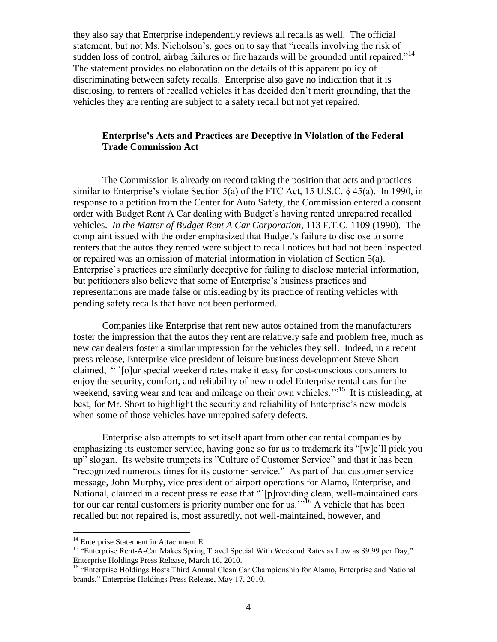they also say that Enterprise independently reviews all recalls as well. The official statement, but not Ms. Nicholson's, goes on to say that "recalls involving the risk of sudden loss of control, airbag failures or fire hazards will be grounded until repaired."<sup>14</sup> The statement provides no elaboration on the details of this apparent policy of discriminating between safety recalls. Enterprise also gave no indication that it is disclosing, to renters of recalled vehicles it has decided don't merit grounding, that the vehicles they are renting are subject to a safety recall but not yet repaired.

# **Enterprise's Acts and Practices are Deceptive in Violation of the Federal Trade Commission Act**

The Commission is already on record taking the position that acts and practices similar to Enterprise's violate Section 5(a) of the FTC Act, 15 U.S.C. § 45(a). In 1990, in response to a petition from the Center for Auto Safety, the Commission entered a consent order with Budget Rent A Car dealing with Budget's having rented unrepaired recalled vehicles. *In the Matter of Budget Rent A Car Corporation*, 113 F.T.C. 1109 (1990). The complaint issued with the order emphasized that Budget's failure to disclose to some renters that the autos they rented were subject to recall notices but had not been inspected or repaired was an omission of material information in violation of Section 5(a). Enterprise's practices are similarly deceptive for failing to disclose material information, but petitioners also believe that some of Enterprise's business practices and representations are made false or misleading by its practice of renting vehicles with pending safety recalls that have not been performed.

Companies like Enterprise that rent new autos obtained from the manufacturers foster the impression that the autos they rent are relatively safe and problem free, much as new car dealers foster a similar impression for the vehicles they sell. Indeed, in a recent press release, Enterprise vice president of leisure business development Steve Short claimed, " `[o]ur special weekend rates make it easy for cost-conscious consumers to enjoy the security, comfort, and reliability of new model Enterprise rental cars for the weekend, saving wear and tear and mileage on their own vehicles."<sup>15</sup> It is misleading, at best, for Mr. Short to highlight the security and reliability of Enterprise's new models when some of those vehicles have unrepaired safety defects.

Enterprise also attempts to set itself apart from other car rental companies by emphasizing its customer service, having gone so far as to trademark its "[w]e'll pick you up" slogan. Its website trumpets its "Culture of Customer Service" and that it has been "recognized numerous times for its customer service." As part of that customer service message, John Murphy, vice president of airport operations for Alamo, Enterprise, and National, claimed in a recent press release that "`[p]roviding clean, well-maintained cars for our car rental customers is priority number one for us.<sup>35</sup> A vehicle that has been recalled but not repaired is, most assuredly, not well-maintained, however, and

 $\overline{a}$ 

<sup>&</sup>lt;sup>14</sup> Enterprise Statement in Attachment E

<sup>&</sup>lt;sup>15</sup> "Enterprise Rent-A-Car Makes Spring Travel Special With Weekend Rates as Low as \$9.99 per Day," Enterprise Holdings Press Release, March 16, 2010.

<sup>&</sup>lt;sup>16</sup> "Enterprise Holdings Hosts Third Annual Clean Car Championship for Alamo, Enterprise and National brands," Enterprise Holdings Press Release, May 17, 2010.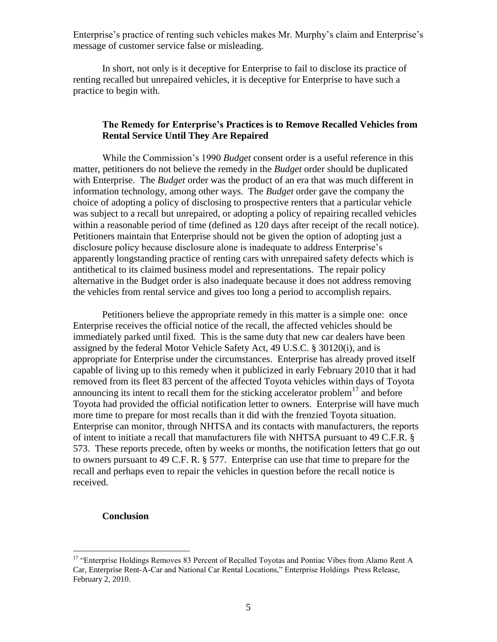Enterprise's practice of renting such vehicles makes Mr. Murphy's claim and Enterprise's message of customer service false or misleading.

In short, not only is it deceptive for Enterprise to fail to disclose its practice of renting recalled but unrepaired vehicles, it is deceptive for Enterprise to have such a practice to begin with.

### **The Remedy for Enterprise's Practices is to Remove Recalled Vehicles from Rental Service Until They Are Repaired**

While the Commission's 1990 *Budget* consent order is a useful reference in this matter, petitioners do not believe the remedy in the *Budget* order should be duplicated with Enterprise. The *Budget* order was the product of an era that was much different in information technology, among other ways. The *Budget* order gave the company the choice of adopting a policy of disclosing to prospective renters that a particular vehicle was subject to a recall but unrepaired, or adopting a policy of repairing recalled vehicles within a reasonable period of time (defined as 120 days after receipt of the recall notice). Petitioners maintain that Enterprise should not be given the option of adopting just a disclosure policy because disclosure alone is inadequate to address Enterprise's apparently longstanding practice of renting cars with unrepaired safety defects which is antithetical to its claimed business model and representations. The repair policy alternative in the Budget order is also inadequate because it does not address removing the vehicles from rental service and gives too long a period to accomplish repairs.

Petitioners believe the appropriate remedy in this matter is a simple one: once Enterprise receives the official notice of the recall, the affected vehicles should be immediately parked until fixed. This is the same duty that new car dealers have been assigned by the federal Motor Vehicle Safety Act, 49 U.S.C. § 30120(i), and is appropriate for Enterprise under the circumstances. Enterprise has already proved itself capable of living up to this remedy when it publicized in early February 2010 that it had removed from its fleet 83 percent of the affected Toyota vehicles within days of Toyota announcing its intent to recall them for the sticking accelerator problem<sup>17</sup> and before Toyota had provided the official notification letter to owners. Enterprise will have much more time to prepare for most recalls than it did with the frenzied Toyota situation. Enterprise can monitor, through NHTSA and its contacts with manufacturers, the reports of intent to initiate a recall that manufacturers file with NHTSA pursuant to 49 C.F.R. § 573. These reports precede, often by weeks or months, the notification letters that go out to owners pursuant to 49 C.F. R. § 577. Enterprise can use that time to prepare for the recall and perhaps even to repair the vehicles in question before the recall notice is received.

### **Conclusion**

 $\overline{a}$ 

<sup>&</sup>lt;sup>17</sup> "Enterprise Holdings Removes 83 Percent of Recalled Toyotas and Pontiac Vibes from Alamo Rent A Car, Enterprise Rent-A-Car and National Car Rental Locations," Enterprise Holdings Press Release, February 2, 2010.